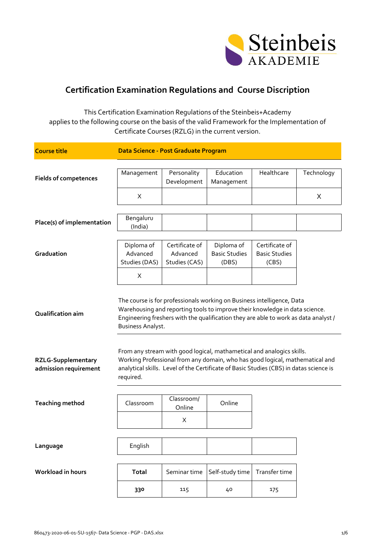

## **Certification Examination Regulations and Course Discription**

This Certification Examination Regulations of the Steinbeis+Academy applies to the following course on the basis of the valid Framework for the Implementation of Certificate Courses (RZLG) in the current version.

| <b>Course title</b>                                | Data Science - Post Graduate Program                                                                                                                                                                                                                                     |                                             |                                                                                                                                                                                                                                                 |                                                 |            |
|----------------------------------------------------|--------------------------------------------------------------------------------------------------------------------------------------------------------------------------------------------------------------------------------------------------------------------------|---------------------------------------------|-------------------------------------------------------------------------------------------------------------------------------------------------------------------------------------------------------------------------------------------------|-------------------------------------------------|------------|
| <b>Fields of competences</b>                       | Management                                                                                                                                                                                                                                                               | Personality<br>Development                  | Education<br>Management                                                                                                                                                                                                                         | Healthcare                                      | Technology |
|                                                    | X                                                                                                                                                                                                                                                                        |                                             |                                                                                                                                                                                                                                                 |                                                 | X          |
| Place(s) of implementation                         | Bengaluru<br>(India)                                                                                                                                                                                                                                                     |                                             |                                                                                                                                                                                                                                                 |                                                 |            |
| Graduation                                         | Diploma of<br>Advanced<br>Studies (DAS)                                                                                                                                                                                                                                  | Certificate of<br>Advanced<br>Studies (CAS) | Diploma of<br><b>Basic Studies</b><br>(DBS)                                                                                                                                                                                                     | Certificate of<br><b>Basic Studies</b><br>(CBS) |            |
|                                                    | X                                                                                                                                                                                                                                                                        |                                             |                                                                                                                                                                                                                                                 |                                                 |            |
| <b>Qualification aim</b>                           | The course is for professionals working on Business intelligence, Data<br>Warehousing and reporting tools to improve their knowledge in data science.<br>Engineering freshers with the qualification they are able to work as data analyst /<br><b>Business Analyst.</b> |                                             |                                                                                                                                                                                                                                                 |                                                 |            |
| <b>RZLG-Supplementary</b><br>admission requirement | required.                                                                                                                                                                                                                                                                |                                             | From any stream with good logical, mathametical and analogics skills.<br>Working Professional from any domain, who has good logical, mathematical and<br>analytical skills. Level of the Certificate of Basic Studies (CBS) in datas science is |                                                 |            |
| <b>Teaching method</b>                             | Classroom                                                                                                                                                                                                                                                                | Classroom/<br>Online                        | Online                                                                                                                                                                                                                                          |                                                 |            |
|                                                    |                                                                                                                                                                                                                                                                          | X                                           |                                                                                                                                                                                                                                                 |                                                 |            |
|                                                    |                                                                                                                                                                                                                                                                          |                                             |                                                                                                                                                                                                                                                 |                                                 |            |
| Language                                           | English                                                                                                                                                                                                                                                                  |                                             |                                                                                                                                                                                                                                                 |                                                 |            |
| Workload in hours                                  | <b>Total</b>                                                                                                                                                                                                                                                             | Seminar time                                | Self-study time                                                                                                                                                                                                                                 | Transfer time                                   |            |
|                                                    | 330                                                                                                                                                                                                                                                                      | 115                                         | 40                                                                                                                                                                                                                                              | 175                                             |            |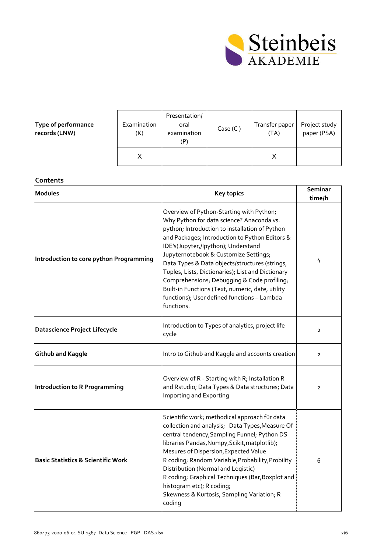

## **Type of performance records (LNW)**

| Examination<br>(K) | Presentation/<br>oral<br>examination | Case (C) | Transfer paper<br>(TA) | Project study<br>paper (PSA) |
|--------------------|--------------------------------------|----------|------------------------|------------------------------|
|                    |                                      |          |                        |                              |

## **Contents**

| <b>Modules</b>                                | <b>Key topics</b>                                                                                                                                                                                                                                                                                                                                                                                                                                                                                                                                | Seminar<br>time/h |
|-----------------------------------------------|--------------------------------------------------------------------------------------------------------------------------------------------------------------------------------------------------------------------------------------------------------------------------------------------------------------------------------------------------------------------------------------------------------------------------------------------------------------------------------------------------------------------------------------------------|-------------------|
| Introduction to core python Programming       | Overview of Python-Starting with Python;<br>Why Python for data science? Anaconda vs.<br>python; Introduction to installation of Python<br>and Packages; Introduction to Python Editors &<br>IDE's(Jupyter,/Ipython); Understand<br>Jupyternotebook & Customize Settings;<br>Data Types & Data objects/structures (strings,<br>Tuples, Lists, Dictionaries); List and Dictionary<br>Comprehensions; Debugging & Code profiling;<br>Built-in Functions (Text, numeric, date, utility<br>functions); User defined functions - Lambda<br>functions. | 4                 |
| <b>Datascience Project Lifecycle</b>          | Introduction to Types of analytics, project life<br>cycle                                                                                                                                                                                                                                                                                                                                                                                                                                                                                        | $\mathbf{2}$      |
| <b>Github and Kaggle</b>                      | Intro to Github and Kaggle and accounts creation                                                                                                                                                                                                                                                                                                                                                                                                                                                                                                 | $\mathbf{2}$      |
| <b>Introduction to R Programming</b>          | Overview of R - Starting with R; Installation R<br>and Rstudio; Data Types & Data structures; Data<br>Importing and Exporting                                                                                                                                                                                                                                                                                                                                                                                                                    | $\overline{2}$    |
| <b>Basic Statistics &amp; Scientific Work</b> | Scientific work; methodical approach für data<br>collection and analysis; Data Types, Measure Of<br>central tendency, Sampling Funnel; Python DS<br>libraries Pandas, Numpy, Scikit, matplotlib);<br>Mesures of Dispersion, Expected Value<br>R coding; Random Variable, Probability, Probility<br>Distribution (Normal and Logistic)<br>R coding; Graphical Techniques (Bar, Boxplot and<br>histogram etc); R coding;<br>Skewness & Kurtosis, Sampling Variation; R<br>coding                                                                   | 6                 |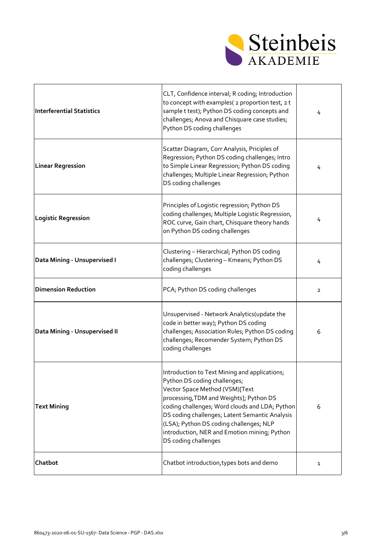

| <b>Interferential Statistics</b> | CLT, Confidence interval; R coding; Introduction<br>to concept with examples( 2 proportion test, 2 t<br>sample t test); Python DS coding concepts and<br>challenges; Anova and Chisquare case studies;<br>Python DS coding challenges                                                                                                                                             | 4              |
|----------------------------------|-----------------------------------------------------------------------------------------------------------------------------------------------------------------------------------------------------------------------------------------------------------------------------------------------------------------------------------------------------------------------------------|----------------|
| <b>Linear Regression</b>         | Scatter Diagram, Corr Analysis, Priciples of<br>Regression; Python DS coding challenges; Intro<br>to Simple Linear Regression; Python DS coding<br>challenges; Multiple Linear Regression; Python<br>DS coding challenges                                                                                                                                                         | 4              |
| <b>Logistic Regression</b>       | Principles of Logistic regression; Python DS<br>coding challenges; Multiple Logistic Regression,<br>ROC curve, Gain chart, Chisquare theory hands<br>on Python DS coding challenges                                                                                                                                                                                               | 4              |
| Data Mining - Unsupervised I     | Clustering - Hierarchical; Python DS coding<br>challenges; Clustering - Kmeans; Python DS<br>coding challenges                                                                                                                                                                                                                                                                    | 4              |
| <b>Dimension Reduction</b>       | PCA; Python DS coding challenges                                                                                                                                                                                                                                                                                                                                                  | $\overline{2}$ |
| Data Mining - Unsupervised II    | Unsupervised - Network Analytics(update the<br>code in better way); Python DS coding<br>challenges; Association Rules; Python DS coding<br>challenges; Recomender System; Python DS<br>coding challenges                                                                                                                                                                          | 6              |
| <b>Text Mining</b>               | Introduction to Text Mining and applications;<br>Python DS coding challenges;<br>Vector Space Method (VSM)[Text<br>processing, TDM and Weights]; Python DS<br>coding challenges; Word clouds and LDA; Python<br>DS coding challenges; Latent Semantic Analysis<br>(LSA); Python DS coding challenges; NLP<br>introduction, NER and Emotion mining; Python<br>DS coding challenges | 6              |
| Chatbot                          | Chatbot introduction, types bots and demo                                                                                                                                                                                                                                                                                                                                         | $\mathbf{1}$   |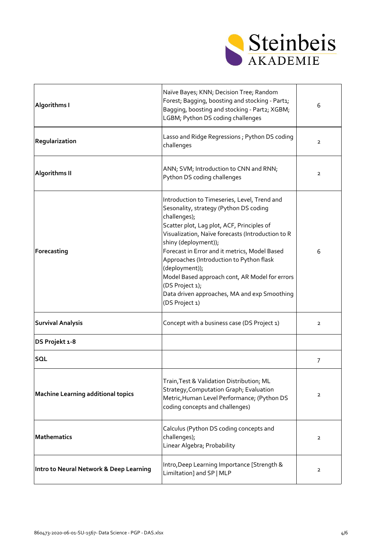

| <b>Algorithms I</b>                       | Naïve Bayes; KNN; Decision Tree; Random<br>Forest; Bagging, boosting and stocking - Part1;<br>Bagging, boosting and stocking - Part2; XGBM;<br>LGBM; Python DS coding challenges                                                                                                                                                                                                                                                                                                        | 6              |
|-------------------------------------------|-----------------------------------------------------------------------------------------------------------------------------------------------------------------------------------------------------------------------------------------------------------------------------------------------------------------------------------------------------------------------------------------------------------------------------------------------------------------------------------------|----------------|
| Regularization                            | Lasso and Ridge Regressions; Python DS coding<br>challenges                                                                                                                                                                                                                                                                                                                                                                                                                             | $\overline{2}$ |
| <b>Algorithms II</b>                      | ANN; SVM; Introduction to CNN and RNN;<br>Python DS coding challenges                                                                                                                                                                                                                                                                                                                                                                                                                   | $\overline{2}$ |
| Forecasting                               | Introduction to Timeseries, Level, Trend and<br>Sesonality, strategy (Python DS coding<br>challenges);<br>Scatter plot, Lag plot, ACF, Principles of<br>Visualization, Naïve forecasts (Introduction to R<br>shiny (deployment));<br>Forecast in Error and it metrics, Model Based<br>Approaches (Introduction to Python flask<br>(deployment));<br>Model Based approach cont, AR Model for errors<br>(DS Project 1);<br>Data driven approaches, MA and exp Smoothing<br>(DS Project 1) | 6              |
| <b>Survival Analysis</b>                  | Concept with a business case (DS Project 1)                                                                                                                                                                                                                                                                                                                                                                                                                                             | $\overline{2}$ |
| DS Projekt 1-8                            |                                                                                                                                                                                                                                                                                                                                                                                                                                                                                         |                |
| SQL                                       |                                                                                                                                                                                                                                                                                                                                                                                                                                                                                         | $\overline{7}$ |
| <b>Machine Learning additional topics</b> | Train, Test & Validation Distribution; ML<br>Strategy, Computation Graph; Evaluation<br>Metric, Human Level Performance; (Python DS<br>coding concepts and challenges)                                                                                                                                                                                                                                                                                                                  | $\overline{2}$ |
| <b>Mathematics</b>                        | Calculus (Python DS coding concepts and<br>challenges);<br>Linear Algebra; Probability                                                                                                                                                                                                                                                                                                                                                                                                  | $\overline{2}$ |
| Intro to Neural Network & Deep Learning   | Intro, Deep Learning Importance [Strength &<br>Limiltation] and SP   MLP                                                                                                                                                                                                                                                                                                                                                                                                                | $\overline{2}$ |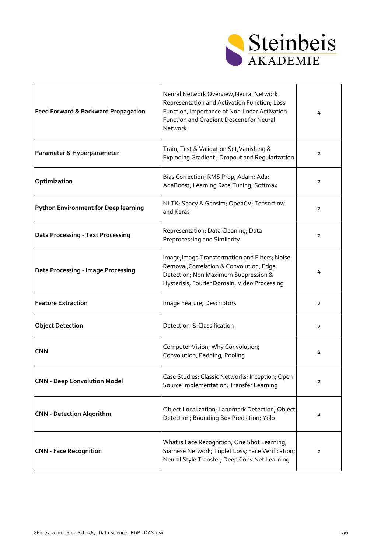

| <b>Feed Forward &amp; Backward Propagation</b> | Neural Network Overview, Neural Network<br>Representation and Activation Function; Loss<br>Function, Importance of Non-linear Activation<br>Function and Gradient Descent for Neural<br>Network | 4              |
|------------------------------------------------|-------------------------------------------------------------------------------------------------------------------------------------------------------------------------------------------------|----------------|
| Parameter & Hyperparameter                     | Train, Test & Validation Set, Vanishing &<br>Exploding Gradient, Dropout and Regularization                                                                                                     | $\overline{2}$ |
| Optimization                                   | Bias Correction; RMS Prop; Adam; Ada;<br>AdaBoost; Learning Rate; Tuning; Softmax                                                                                                               | $\overline{2}$ |
| <b>Python Environment for Deep learning</b>    | NLTK; Spacy & Gensim; OpenCV; Tensorflow<br>and Keras                                                                                                                                           | $\overline{2}$ |
| <b>Data Processing - Text Processing</b>       | Representation; Data Cleaning; Data<br>Preprocessing and Similarity                                                                                                                             | $\overline{2}$ |
| <b>Data Processing - Image Processing</b>      | Image, Image Transformation and Filters; Noise<br>Removal, Correlation & Convolution; Edge<br>Detection; Non Maximum Suppression &<br>Hysterisis; Fourier Domain; Video Processing              | 4              |
| <b>Feature Extraction</b>                      | Image Feature; Descriptors                                                                                                                                                                      | $\overline{2}$ |
| <b>Object Detection</b>                        | Detection & Classification                                                                                                                                                                      | $\overline{2}$ |
| <b>CNN</b>                                     | Computer Vision; Why Convolution;<br>Convolution; Padding; Pooling                                                                                                                              | $\overline{2}$ |
| <b>CNN - Deep Convolution Model</b>            | Case Studies; Classic Networks; Inception; Open<br>Source Implementation; Transfer Learning                                                                                                     | $\overline{2}$ |
| <b>CNN - Detection Algorithm</b>               | Object Localization; Landmark Detection; Object<br>Detection; Bounding Box Prediction; Yolo                                                                                                     | $\overline{2}$ |
| <b>CNN - Face Recognition</b>                  | What is Face Recognition; One Shot Learning;<br>Siamese Network; Triplet Loss; Face Verification;<br>Neural Style Transfer; Deep Conv Net Learning                                              | $\overline{2}$ |